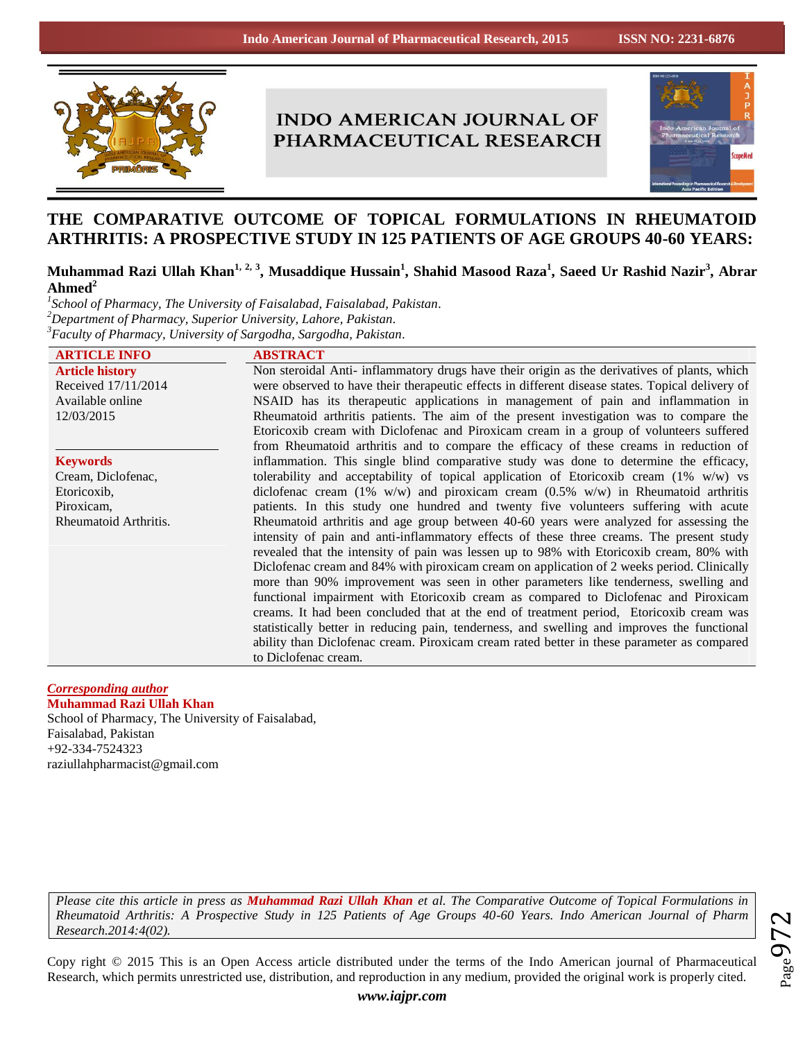

# **INDO AMERICAN JOURNAL OF** PHARMACEUTICAL RESEARCH



# **THE COMPARATIVE OUTCOME OF TOPICAL FORMULATIONS IN RHEUMATOID ARTHRITIS: A PROSPECTIVE STUDY IN 125 PATIENTS OF AGE GROUPS 40-60 YEARS:**

# **Muhammad Razi Ullah Khan1, 2, 3, Musaddique Hussain<sup>1</sup> , Shahid Masood Raza<sup>1</sup> , Saeed Ur Rashid Nazir<sup>3</sup> , Abrar Ahmed<sup>2</sup>**

*1 School of Pharmacy, The University of Faisalabad, Faisalabad, Pakistan. <sup>2</sup>Department of Pharmacy, Superior University, Lahore, Pakistan. <sup>3</sup>Faculty of Pharmacy, University of Sargodha, Sargodha, Pakistan.*

| <b>ARTICLE INFO</b>    | <b>ABSTRACT</b>                                                                                  |
|------------------------|--------------------------------------------------------------------------------------------------|
| <b>Article history</b> | Non steroidal Anti- inflammatory drugs have their origin as the derivatives of plants, which     |
| Received 17/11/2014    | were observed to have their therapeutic effects in different disease states. Topical delivery of |
| Available online       | NSAID has its therapeutic applications in management of pain and inflammation in                 |
| 12/03/2015             | Rheumatoid arthritis patients. The aim of the present investigation was to compare the           |
|                        | Etoricoxib cream with Diclofenac and Piroxicam cream in a group of volunteers suffered           |
|                        | from Rheumatoid arthritis and to compare the efficacy of these creams in reduction of            |
| <b>Keywords</b>        | inflammation. This single blind comparative study was done to determine the efficacy,            |
| Cream, Diclofenac,     | tolerability and acceptability of topical application of Etoricoxib cream $(1\% \t w/w)$ vs      |
| Etoricoxib,            | diclofenac cream (1% w/w) and piroxicam cream (0.5% w/w) in Rheumatoid arthritis                 |
| Piroxicam,             | patients. In this study one hundred and twenty five volunteers suffering with acute              |
| Rheumatoid Arthritis.  | Rheumatoid arthritis and age group between 40-60 years were analyzed for assessing the           |
|                        | intensity of pain and anti-inflammatory effects of these three creams. The present study         |
|                        | revealed that the intensity of pain was lessen up to 98% with Etoricoxib cream, 80% with         |
|                        | Diclofenac cream and 84% with piroxicam cream on application of 2 weeks period. Clinically       |
|                        | more than 90% improvement was seen in other parameters like tenderness, swelling and             |
|                        | functional impairment with Etoricoxib cream as compared to Diclofenac and Piroxicam              |
|                        | creams. It had been concluded that at the end of treatment period, Etoricoxib cream was          |
|                        | statistically better in reducing pain, tenderness, and swelling and improves the functional      |
|                        | ability than Diclofenac cream. Piroxicam cream rated better in these parameter as compared       |
|                        | to Diclofenac cream.                                                                             |

# *Corresponding author*

**Muhammad Razi Ullah Khan** School of Pharmacy, The University of Faisalabad, Faisalabad, Pakistan +92-334-7524323 raziullahpharmacist@gmail.com

*Please cite this article in press as Muhammad Razi Ullah Khan et al. The Comparative Outcome of Topical Formulations in Rheumatoid Arthritis: A Prospective Study in 125 Patients of Age Groups 40-60 Years. Indo American Journal of Pharm Research.2014:4(02).*

 $_{\rm Page}$ 972

Copy right © 2015 This is an Open Access article distributed under the terms of the Indo American journal of Pharmaceutical Research, which permits unrestricted use, distribution, and reproduction in any medium, provided the original work is properly cited.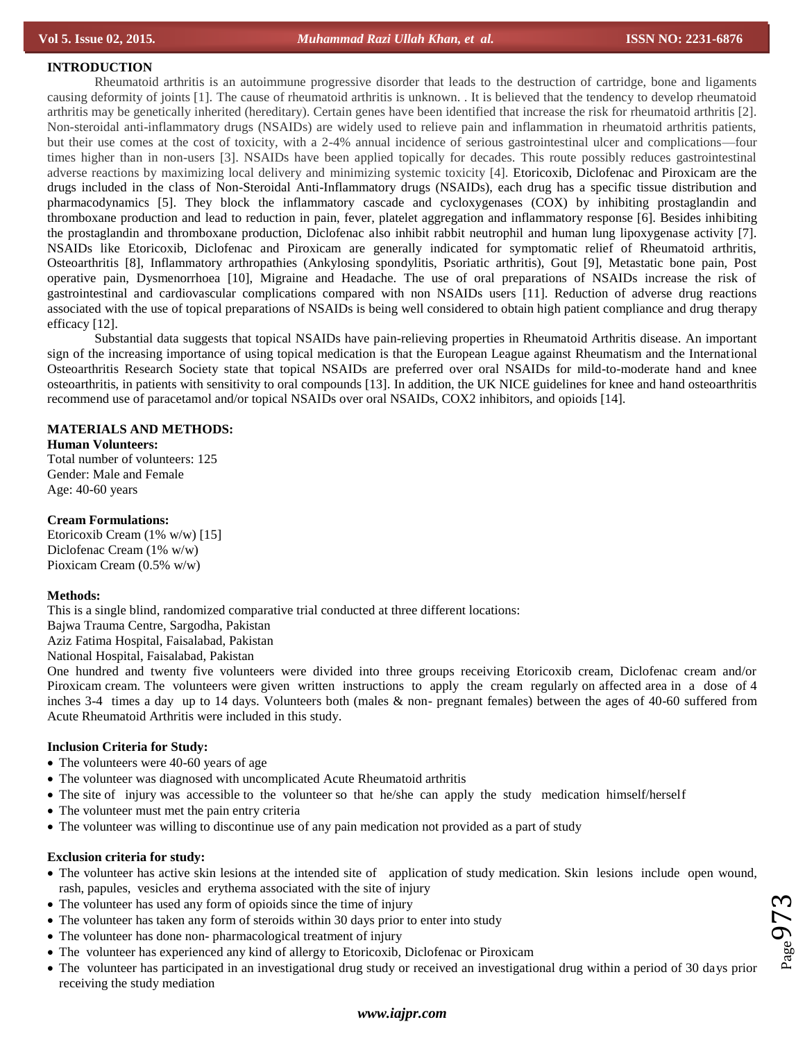# **INTRODUCTION**

Rheumatoid arthritis is an autoimmune progressive disorder that leads to the destruction of cartridge, bone and ligaments causing deformity of joints [1]. The cause of rheumatoid arthritis is unknown. . It is believed that the tendency to develop rheumatoid arthritis may be genetically inherited (hereditary). Certain genes have been identified that increase the risk for rheumatoid arthritis [2]. Non-steroidal anti-inflammatory drugs (NSAIDs) are widely used to relieve pain and inflammation in rheumatoid arthritis patients, but their use comes at the cost of toxicity, with a 2-4% annual incidence of serious gastrointestinal ulcer and complications—four times higher than in non-users [3]. NSAIDs have been applied topically for decades. This route possibly reduces gastrointestinal adverse reactions by maximizing local delivery and minimizing systemic toxicity [4]. Etoricoxib, Diclofenac and Piroxicam are the drugs included in the class of Non-Steroidal Anti-Inflammatory drugs (NSAIDs), each drug has a specific tissue distribution and pharmacodynamics [5]. They block the inflammatory cascade and cycloxygenases (COX) by inhibiting prostaglandin and thromboxane production and lead to reduction in pain, fever, platelet aggregation and inflammatory response [6]. Besides inhibiting the prostaglandin and thromboxane production, Diclofenac also inhibit rabbit neutrophil and human lung lipoxygenase activity [7]. NSAIDs like Etoricoxib, Diclofenac and Piroxicam are generally indicated for symptomatic relief of Rheumatoid arthritis, Osteoarthritis [8], Inflammatory arthropathies (Ankylosing spondylitis, Psoriatic arthritis), Gout [9], Metastatic bone pain, Post operative pain, Dysmenorrhoea [10], Migraine and Headache. The use of oral preparations of NSAIDs increase the risk of gastrointestinal and cardiovascular complications compared with non NSAIDs users [11]. Reduction of adverse drug reactions associated with the use of topical preparations of NSAIDs is being well considered to obtain high patient compliance and drug therapy efficacy [12].

Substantial data suggests that topical NSAIDs have pain-relieving properties in Rheumatoid Arthritis disease. An important sign of the increasing importance of using topical medication is that the European League against Rheumatism and the International Osteoarthritis Research Society state that topical NSAIDs are preferred over oral NSAIDs for mild-to-moderate hand and knee osteoarthritis, in patients with sensitivity to oral compounds [13]. In addition, the UK NICE guidelines for knee and hand osteoarthritis recommend use of paracetamol and/or topical NSAIDs over oral NSAIDs, COX2 inhibitors, and opioids [14].

# **MATERIALS AND METHODS:**

**Human Volunteers:** Total number of volunteers: 125 Gender: Male and Female Age: 40-60 years

# **Cream Formulations:**

Etoricoxib Cream (1% w/w) [15] Diclofenac Cream (1% w/w) Pioxicam Cream (0.5% w/w)

#### **Methods:**

This is a single blind, randomized comparative trial conducted at three different locations:

Bajwa Trauma Centre, Sargodha, Pakistan

Aziz Fatima Hospital, Faisalabad, Pakistan

National Hospital, Faisalabad, Pakistan

One hundred and twenty five volunteers were divided into three groups receiving Etoricoxib cream, Diclofenac cream and/or Piroxicam cream. The volunteers were given written instructions to apply the cream regularly on affected area in a dose of 4 inches 3-4 times a day up to 14 days. Volunteers both (males & non- pregnant females) between the ages of 40-60 suffered from Acute Rheumatoid Arthritis were included in this study.

#### **Inclusion Criteria for Study:**

- The volunteers were 40-60 years of age
- The volunteer was diagnosed with uncomplicated Acute Rheumatoid arthritis
- The site of injury was accessible to the volunteer so that he/she can apply the study medication himself/herself
- The volunteer must met the pain entry criteria
- The volunteer was willing to discontinue use of any pain medication not provided as a part of study

#### **Exclusion criteria for study:**

- The volunteer has active skin lesions at the intended site of application of study medication. Skin lesions include open wound, rash, papules, vesicles and erythema associated with the site of injury
- The volunteer has used any form of opioids since the time of injury
- The volunteer has taken any form of steroids within 30 days prior to enter into study
- The volunteer has done non- pharmacological treatment of injury
- The volunteer has experienced any kind of allergy to Etoricoxib, Diclofenac or Piroxicam
- The volunteer has participated in an investigational drug study or received an investigational drug within a period of 30 days prior receiving the study mediation

 $_{\rm Page}$ 973

# *www.iajpr.com*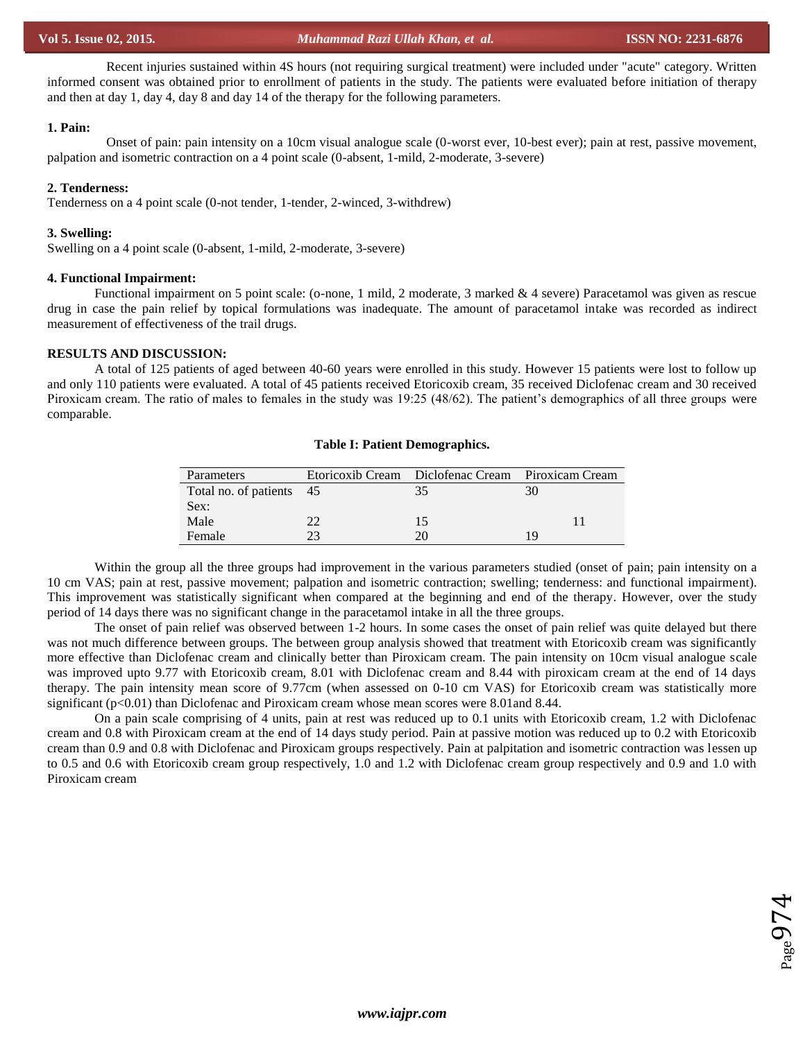Recent injuries sustained within 4S hours (not requiring surgical treatment) were included under "acute" category. Written informed consent was obtained prior to enrollment of patients in the study. The patients were evaluated before initiation of therapy and then at day 1, day 4, day 8 and day 14 of the therapy for the following parameters.

#### **1. Pain:**

Onset of pain: pain intensity on a 10cm visual analogue scale (0-worst ever, 10-best ever); pain at rest, passive movement, palpation and isometric contraction on a 4 point scale (0-absent, 1-mild, 2-moderate, 3-severe)

# **2. Tenderness:**

Tenderness on a 4 point scale (0-not tender, 1-tender, 2-winced, 3-withdrew)

## **3. Swelling:**

Swelling on a 4 point scale (0-absent, 1-mild, 2-moderate, 3-severe)

#### **4. Functional Impairment:**

Functional impairment on 5 point scale: (o-none, 1 mild, 2 moderate, 3 marked & 4 severe) Paracetamol was given as rescue drug in case the pain relief by topical formulations was inadequate. The amount of paracetamol intake was recorded as indirect measurement of effectiveness of the trail drugs.

# **RESULTS AND DISCUSSION:**

A total of 125 patients of aged between 40-60 years were enrolled in this study. However 15 patients were lost to follow up and only 110 patients were evaluated. A total of 45 patients received Etoricoxib cream, 35 received Diclofenac cream and 30 received Piroxicam cream. The ratio of males to females in the study was 19:25 (48/62). The patient's demographics of all three groups were comparable.

#### **Table I: Patient Demographics.**

| <b>Parameters</b>        | Etoricoxib Cream Diclofenac Cream Piroxicam Cream |    |
|--------------------------|---------------------------------------------------|----|
| Total no. of patients 45 |                                                   |    |
| Sex:                     |                                                   |    |
| Male                     | 15                                                |    |
| Female                   |                                                   | ١Q |

Within the group all the three groups had improvement in the various parameters studied (onset of pain; pain intensity on a 10 cm VAS; pain at rest, passive movement; palpation and isometric contraction; swelling; tenderness: and functional impairment). This improvement was statistically significant when compared at the beginning and end of the therapy. However, over the study period of 14 days there was no significant change in the paracetamol intake in all the three groups.

The onset of pain relief was observed between 1-2 hours. In some cases the onset of pain relief was quite delayed but there was not much difference between groups. The between group analysis showed that treatment with Etoricoxib cream was significantly more effective than Diclofenac cream and clinically better than Piroxicam cream. The pain intensity on 10cm visual analogue scale was improved upto 9.77 with Etoricoxib cream, 8.01 with Diclofenac cream and 8.44 with piroxicam cream at the end of 14 days therapy. The pain intensity mean score of 9.77cm (when assessed on 0-10 cm VAS) for Etoricoxib cream was statistically more significant (p<0.01) than Diclofenac and Piroxicam cream whose mean scores were 8.01 and 8.44.

On a pain scale comprising of 4 units, pain at rest was reduced up to 0.1 units with Etoricoxib cream, 1.2 with Diclofenac cream and 0.8 with Piroxicam cream at the end of 14 days study period. Pain at passive motion was reduced up to 0.2 with Etoricoxib cream than 0.9 and 0.8 with Diclofenac and Piroxicam groups respectively. Pain at palpitation and isometric contraction was lessen up to 0.5 and 0.6 with Etoricoxib cream group respectively, 1.0 and 1.2 with Diclofenac cream group respectively and 0.9 and 1.0 with Piroxicam cream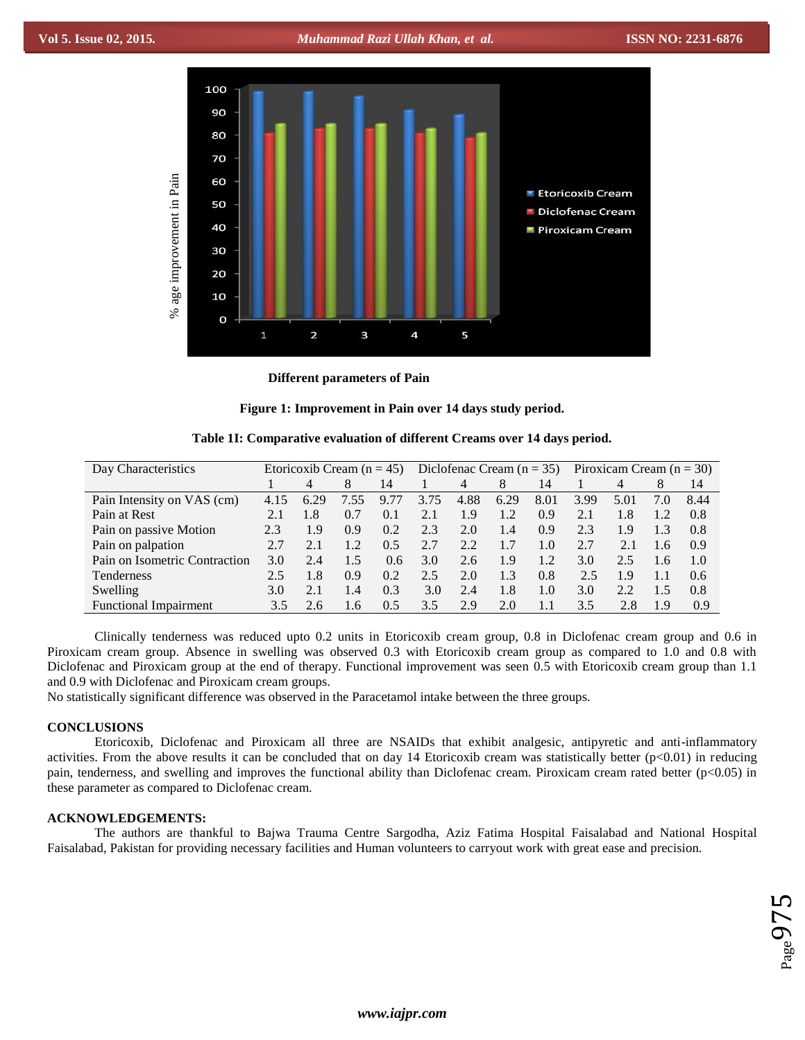

**Different parameters of Pain**

**Figure 1: Improvement in Pain over 14 days study period.**

|  | Table 1I: Comparative evaluation of different Creams over 14 days period. |  |  |  |  |  |
|--|---------------------------------------------------------------------------|--|--|--|--|--|
|--|---------------------------------------------------------------------------|--|--|--|--|--|

| Day Characteristics           | Etoricoxib Cream ( $n = 45$ ) |      |      | Diclofenac Cream $(n = 35)$ |      |      | Piroxicam Cream $(n = 30)$ |      |      |      |     |      |
|-------------------------------|-------------------------------|------|------|-----------------------------|------|------|----------------------------|------|------|------|-----|------|
|                               |                               | 4    | 8    | 14                          |      | 4    | 8                          | 14   |      | 4    | 8   | 14   |
| Pain Intensity on VAS (cm)    | 4.15                          | 6.29 | 7.55 | 9.77                        | 3.75 | 4.88 | 6.29                       | 8.01 | 3.99 | 5.01 | 7.0 | 8.44 |
| Pain at Rest                  | 2.1                           | 1.8  | 0.7  | 0.1                         | 2.1  | 1.9  | 1.2                        | 0.9  | 2.1  | 1.8  | 1.2 | 0.8  |
| Pain on passive Motion        | 2.3                           | 1.9  | 0.9  | 0.2                         | 2.3  | 2.0  | 1.4                        | 0.9  | 2.3  | 1.9  | 1.3 | 0.8  |
| Pain on palpation             | 2.7                           | 2.1  | 1.2  | 0.5                         | 2.7  | 2.2  | 1.7                        | 1.0  | 2.7  | 2.1  | 1.6 | 0.9  |
| Pain on Isometric Contraction | 3.0                           | 2.4  | 1.5  | 0.6                         | 3.0  | 2.6  | 1.9                        | 1.2  | 3.0  | 2.5  | 1.6 | 1.0  |
| Tenderness                    | 2.5                           | 1.8  | 0.9  | 0.2                         | 2.5  | 2.0  | 1.3                        | 0.8  | 2.5  | 1.9  | 1.1 | 0.6  |
| Swelling                      | 3.0                           | 2.1  | 1.4  | 0.3                         | 3.0  | 2.4  | 1.8                        | 1.0  | 3.0  | 2.2  | 1.5 | 0.8  |
| <b>Functional Impairment</b>  | 3.5                           | 2.6  | 1.6  | 0.5                         | 3.5  | 2.9  | 2.0                        | 1.1  | 3.5  | 2.8  | 1.9 | 0.9  |

Clinically tenderness was reduced upto 0.2 units in Etoricoxib cream group, 0.8 in Diclofenac cream group and 0.6 in Piroxicam cream group. Absence in swelling was observed 0.3 with Etoricoxib cream group as compared to 1.0 and 0.8 with Diclofenac and Piroxicam group at the end of therapy. Functional improvement was seen 0.5 with Etoricoxib cream group than 1.1 and 0.9 with Diclofenac and Piroxicam cream groups.

No statistically significant difference was observed in the Paracetamol intake between the three groups.

# **CONCLUSIONS**

Etoricoxib, Diclofenac and Piroxicam all three are NSAIDs that exhibit analgesic, antipyretic and anti-inflammatory activities. From the above results it can be concluded that on day 14 Etoricoxib cream was statistically better  $(p<0.01)$  in reducing pain, tenderness, and swelling and improves the functional ability than Diclofenac cream. Piroxicam cream rated better (p<0.05) in these parameter as compared to Diclofenac cream.

# **ACKNOWLEDGEMENTS:**

The authors are thankful to Bajwa Trauma Centre Sargodha, Aziz Fatima Hospital Faisalabad and National Hospital Faisalabad, Pakistan for providing necessary facilities and Human volunteers to carryout work with great ease and precision.